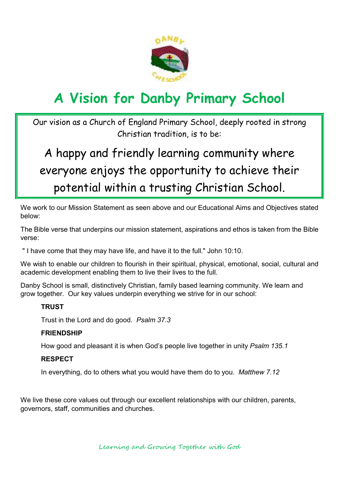

# **A Vision for Danby Primary School**

Our vision as a Church of England Primary School, deeply rooted in strong Christian tradition, is to be:

## A happy and friendly learning community where everyone enjoys the opportunity to achieve their potential within a trusting Christian School.

We work to our Mission Statement as seen above and our Educational Aims and Objectives stated below:

The Bible verse that underpins our mission statement, aspirations and ethos is taken from the Bible verse:

" I have come that they may have life, and have it to the full." John 10:10.

We wish to enable our children to flourish in their spiritual, physical, emotional, social, cultural and academic development enabling them to live their lives to the full.

Danby School is small, distinctively Christian, family based learning community. We learn and grow together. Our key values underpin everything we strive for in our school:

### **TRUST**

Trust in the Lord and do good. *Psalm 37.3*

### **FRIENDSHIP**

How good and pleasant it is when God's people live together in unity *Psalm 135.1* 

### **RESPECT**

In everything, do to others what you would have them do to you. *Matthew 7.12*

We live these core values out through our excellent relationships with our children, parents, governors, staff, communities and churches.

Learning and Growing Together with God